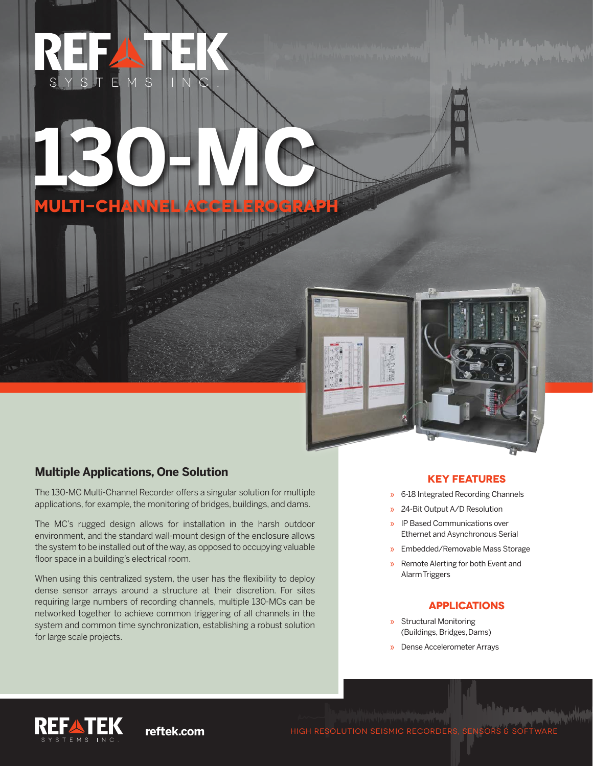**MULTI-CH** 

**130-MC**

## **Multiple Applications, One Solution**

The 130-MC Multi-Channel Recorder offers a singular solution for multiple applications, for example, the monitoring of bridges, buildings, and dams.

The MC's rugged design allows for installation in the harsh outdoor environment, and the standard wall-mount design of the enclosure allows the system to be installed out of the way, as opposed to occupying valuable floor space in a building's electrical room.

When using this centralized system, the user has the flexibility to deploy dense sensor arrays around a structure at their discretion. For sites requiring large numbers of recording channels, multiple 130-MCs can be networked together to achieve common triggering of all channels in the system and common time synchronization, establishing a robust solution for large scale projects.

### **KEY FEATURES**

- » 6-18 Integrated Recording Channels
- » 24-Bit Output A/D Resolution
- » IP Based Communications over Ethernet and Asynchronous Serial
- » Embedded/Removable Mass Storage
- » Remote Alerting for both Event and Alarm Triggers

### **APPLICATIONS**

- » Structural Monitoring (Buildings, Bridges, Dams)
- » Dense Accelerometer Arrays



**reftek.com HIGH RESOLUTION SEISMIC RECORDERS, SENSORS**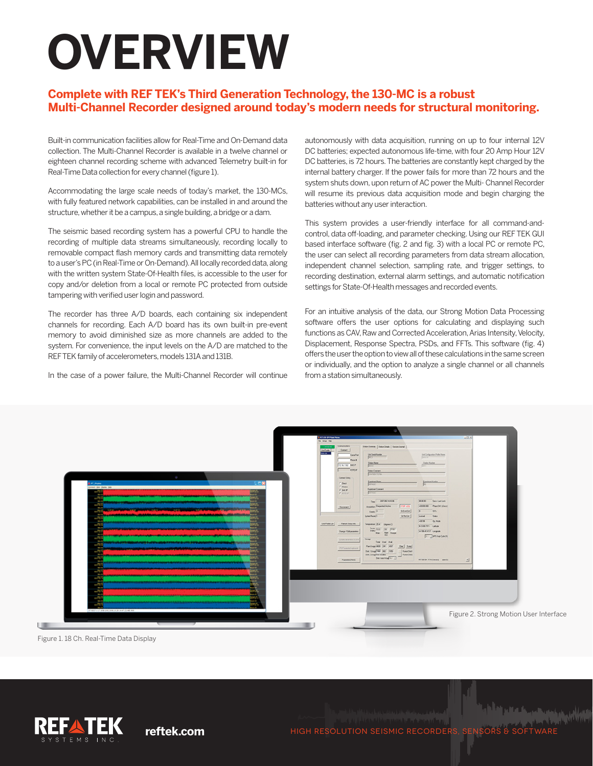# **OVERVIEW**

### **Complete with REF TEK's Third Generation Technology, the 130-MC is a robust Multi-Channel Recorder designed around today's modern needs for structural monitoring.**

Built-in communication facilities allow for Real-Time and On-Demand data collection. The Multi-Channel Recorder is available in a twelve channel or eighteen channel recording scheme with advanced Telemetry built-in for Real-Time Data collection for every channel (figure 1).

Accommodating the large scale needs of today's market, the 130-MCs, with fully featured network capabilities, can be installed in and around the structure, whether it be a campus, a single building, a bridge or a dam.

The seismic based recording system has a powerful CPU to handle the recording of multiple data streams simultaneously, recording locally to removable compact flash memory cards and transmitting data remotely to a user's PC (in Real-Time or On-Demand). All locally recorded data, along with the written system State-Of-Health files, is accessible to the user for copy and/or deletion from a local or remote PC protected from outside tampering with verified user login and password.

The recorder has three A/D boards, each containing six independent channels for recording. Each A/D board has its own built-in pre-event memory to avoid diminished size as more channels are added to the system. For convenience, the input levels on the A/D are matched to the REF TEK family of accelerometers, models 131A and 131B.

In the case of a power failure, the Multi-Channel Recorder will continue

autonomously with data acquisition, running on up to four internal 12V DC batteries; expected autonomous life-time, with four 20 Amp Hour 12V DC batteries, is 72 hours. The batteries are constantly kept charged by the internal battery charger. If the power fails for more than 72 hours and the system shuts down, upon return of AC power the Multi- Channel Recorder will resume its previous data acquisition mode and begin charging the batteries without any user interaction.

This system provides a user-friendly interface for all command-andcontrol, data off-loading, and parameter checking. Using our REF TEK GUI based interface software (fig. 2 and fig. 3) with a local PC or remote PC, the user can select all recording parameters from data stream allocation, independent channel selection, sampling rate, and trigger settings, to recording destination, external alarm settings, and automatic notification settings for State-Of-Health messages and recorded events.

For an intuitive analysis of the data, our Strong Motion Data Processing software offers the user options for calculating and displaying such functions as CAV, Raw and Corrected Acceleration, Arias Intensity, Velocity, Displacement, Response Spectra, PSDs, and FFTs. This software (fig. 4) offers the user the option to view all of these calculations in the same screen or individually, and the option to analyze a single channel or all channels from a station simultaneously.



Figure 1. 18 Ch. Real-Time Data Display



**reftek.com HIGH RESOLUTION SEISMIC RECORDERS, SENSORS & SOFTWARE**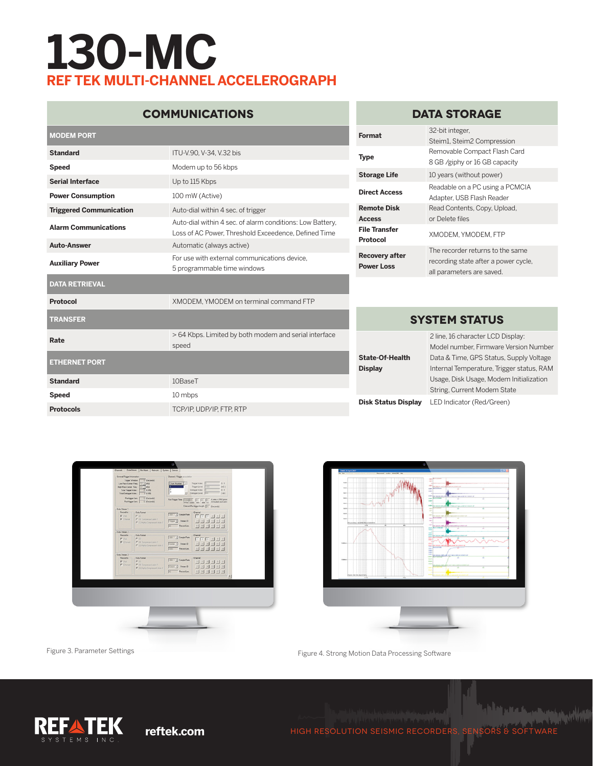# **130-MC REF TEK MULTI-CHANNEL ACCELEROGRAPH**

## **COMMUNICATIONS**

| <b>MODEM PORT</b>              |                                                                                                                   | Format                                            |
|--------------------------------|-------------------------------------------------------------------------------------------------------------------|---------------------------------------------------|
| <b>Standard</b>                | ITU-V.90, V-34, V.32 bis                                                                                          | <b>Type</b>                                       |
| <b>Speed</b>                   | Modem up to 56 kbps                                                                                               |                                                   |
| <b>Serial Interface</b>        | Up to 115 Kbps                                                                                                    | <b>Storage Life</b>                               |
| <b>Power Consumption</b>       | 100 mW (Active)                                                                                                   | <b>Direct Access</b>                              |
| <b>Triggered Communication</b> | Auto-dial within 4 sec. of trigger                                                                                | <b>Remote Disk</b>                                |
| <b>Alarm Communications</b>    | Auto-dial within 4 sec. of alarm conditions: Low Battery,<br>Loss of AC Power, Threshold Exceedence, Defined Time | <b>Access</b><br><b>File Transfer</b><br>Protocol |
| <b>Auto-Answer</b>             | Automatic (always active)                                                                                         |                                                   |
| <b>Auxiliary Power</b>         | For use with external communications device.<br>5 programmable time windows                                       | <b>Recovery after</b><br><b>Power Loss</b>        |
| <b>DATA RETRIEVAL</b>          |                                                                                                                   |                                                   |
| Protocol                       | XMODEM. YMODEM on terminal command FTP                                                                            |                                                   |
| <b>TRANSFER</b>                |                                                                                                                   | S)                                                |
| Rate                           | > 64 Kbps. Limited by both modem and serial interface<br>speed                                                    |                                                   |
| <b>ETHERNET PORT</b>           |                                                                                                                   | <b>State-Of-Health</b><br><b>Display</b>          |
| <b>Standard</b>                | 10BaseT                                                                                                           |                                                   |
| <b>Speed</b>                   | 10 mbps                                                                                                           |                                                   |
| <b>Protocols</b>               | TCP/IP, UDP/IP, FTP, RTP                                                                                          | <b>Disk Status Display</b>                        |

### **DATA STORAGE**

| Format                                     | 32-bit integer.<br>Steim1, Steim2 Compression                                                         |
|--------------------------------------------|-------------------------------------------------------------------------------------------------------|
| Type                                       | Removable Compact Flash Card<br>8 GB /giphy or 16 GB capacity                                         |
| <b>Storage Life</b>                        | 10 years (without power)                                                                              |
| <b>Direct Access</b>                       | Readable on a PC using a PCMCIA<br>Adapter, USB Flash Reader                                          |
| Remote Disk<br>Access                      | Read Contents, Copy, Upload,<br>or Delete files                                                       |
| <b>File Transfer</b><br>Protocol           | XMODEM, YMODEM, FTP                                                                                   |
| <b>Recovery after</b><br><b>Power Loss</b> | The recorder returns to the same<br>recording state after a power cycle,<br>all parameters are saved. |

### **SYSTEM STATUS**

|                            | 2 line, 16 character LCD Display:         |
|----------------------------|-------------------------------------------|
|                            | Model number, Firmware Version Number     |
| <b>State-Of-Health</b>     | Data & Time, GPS Status, Supply Voltage   |
| <b>Display</b>             | Internal Temperature, Trigger status, RAM |
|                            | Usage, Disk Usage, Modem Initialization   |
|                            | String, Current Modem State               |
| <b>Disk Status Display</b> | LED Indicator (Red/Green)                 |





Figure 3. Parameter Settings Figure 4. Strong Motion Data Processing Software



**Alat Malay in a property and with the Contract of the Contract of the Contract of the Contract of the Contract reftek.com** HIGH RESOLUTION SEISMIC RECORDERS, SENSORS & SOFTWARE